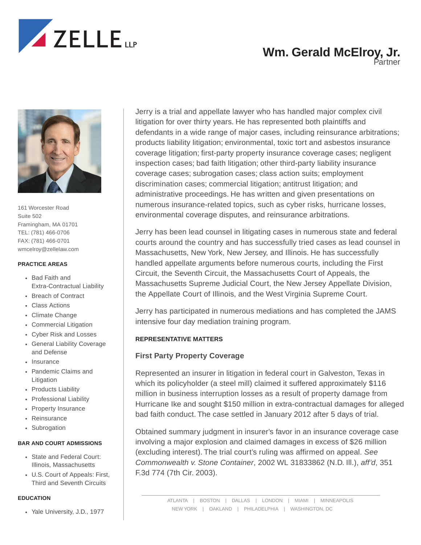

Partner



161 Worcester Road Suite 502 Framingham, MA 01701 TEL: (781) 466-0706 FAX: (781) 466-0701 wmcelroy@zellelaw.com

#### **PRACTICE AREAS**

- Bad Faith and Extra-Contractual Liability
- Breach of Contract
- Class Actions
- Climate Change
- Commercial Litigation
- Cyber Risk and Losses
- General Liability Coverage and Defense
- Insurance
- Pandemic Claims and Litigation
- Products Liability
- Professional Liability
- Property Insurance
- Reinsurance
- Subrogation

#### **BAR AND COURT ADMISSIONS**

- State and Federal Court: Illinois, Massachusetts
- U.S. Court of Appeals: First, Third and Seventh Circuits

#### **EDUCATION**

• Yale University, J.D., 1977

Jerry is a trial and appellate lawyer who has handled major complex civil litigation for over thirty years. He has represented both plaintiffs and defendants in a wide range of major cases, including reinsurance arbitrations; products liability litigation; environmental, toxic tort and asbestos insurance coverage litigation; first-party property insurance coverage cases; negligent inspection cases; bad faith litigation; other third-party liability insurance coverage cases; subrogation cases; class action suits; employment discrimination cases; commercial litigation; antitrust litigation; and administrative proceedings. He has written and given presentations on numerous insurance-related topics, such as cyber risks, hurricane losses, environmental coverage disputes, and reinsurance arbitrations.

Jerry has been lead counsel in litigating cases in numerous state and federal courts around the country and has successfully tried cases as lead counsel in Massachusetts, New York, New Jersey, and Illinois. He has successfully handled appellate arguments before numerous courts, including the First Circuit, the Seventh Circuit, the Massachusetts Court of Appeals, the Massachusetts Supreme Judicial Court, the New Jersey Appellate Division, the Appellate Court of Illinois, and the West Virginia Supreme Court.

Jerry has participated in numerous mediations and has completed the JAMS intensive four day mediation training program.

#### **REPRESENTATIVE MATTERS**

### **First Party Property Coverage**

Represented an insurer in litigation in federal court in Galveston, Texas in which its policyholder (a steel mill) claimed it suffered approximately \$116 million in business interruption losses as a result of property damage from Hurricane Ike and sought \$150 million in extra-contractual damages for alleged bad faith conduct. The case settled in January 2012 after 5 days of trial.

Obtained summary judgment in insurer's favor in an insurance coverage case involving a major explosion and claimed damages in excess of \$26 million (excluding interest). The trial court's ruling was affirmed on appeal. *See Commonwealth v. Stone Container*, 2002 WL 31833862 (N.D. Ill.), *aff'd*, 351 F.3d 774 (7th Cir. 2003).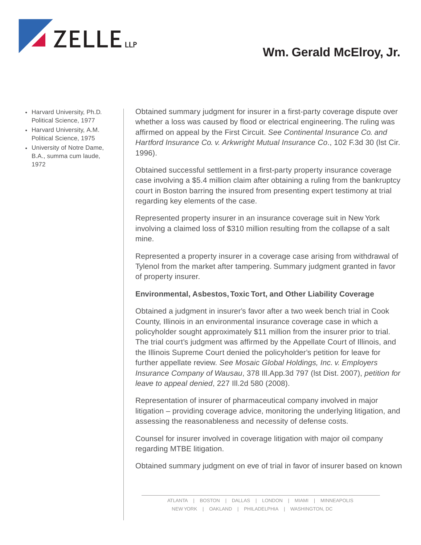

- Harvard University, Ph.D. Political Science, 1977
- Harvard University, A.M. Political Science, 1975
- University of Notre Dame, B.A., summa cum laude, 1972

Obtained summary judgment for insurer in a first-party coverage dispute over whether a loss was caused by flood or electrical engineering. The ruling was affirmed on appeal by the First Circuit. *See Continental Insurance Co. and Hartford Insurance Co. v. Arkwright Mutual Insurance Co*., 102 F.3d 30 (lst Cir. 1996).

Obtained successful settlement in a first-party property insurance coverage case involving a \$5.4 million claim after obtaining a ruling from the bankruptcy court in Boston barring the insured from presenting expert testimony at trial regarding key elements of the case.

Represented property insurer in an insurance coverage suit in New York involving a claimed loss of \$310 million resulting from the collapse of a salt mine.

Represented a property insurer in a coverage case arising from withdrawal of Tylenol from the market after tampering. Summary judgment granted in favor of property insurer.

## **Environmental, Asbestos, Toxic Tort, and Other Liability Coverage**

Obtained a judgment in insurer's favor after a two week bench trial in Cook County, Illinois in an environmental insurance coverage case in which a policyholder sought approximately \$11 million from the insurer prior to trial. The trial court's judgment was affirmed by the Appellate Court of Illinois, and the Illinois Supreme Court denied the policyholder's petition for leave for further appellate review. *See Mosaic Global Holdings, Inc. v. Employers Insurance Company of Wausau*, 378 Ill.App.3d 797 (lst Dist. 2007), *petition for leave to appeal denied*, 227 Ill.2d 580 (2008).

Representation of insurer of pharmaceutical company involved in major litigation – providing coverage advice, monitoring the underlying litigation, and assessing the reasonableness and necessity of defense costs.

Counsel for insurer involved in coverage litigation with major oil company regarding MTBE litigation.

Obtained summary judgment on eve of trial in favor of insurer based on known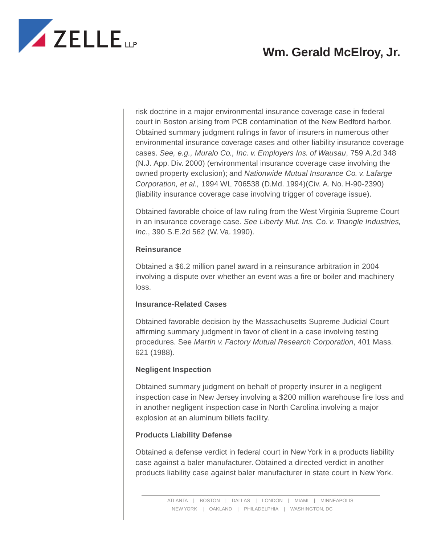

risk doctrine in a major environmental insurance coverage case in federal court in Boston arising from PCB contamination of the New Bedford harbor. Obtained summary judgment rulings in favor of insurers in numerous other environmental insurance coverage cases and other liability insurance coverage cases. *See, e.g., Muralo Co., Inc. v. Employers Ins. of Wausau*, 759 A.2d 348 (N.J. App. Div. 2000) (environmental insurance coverage case involving the owned property exclusion); and *Nationwide Mutual Insurance Co. v. Lafarge Corporation, et al.,* 1994 WL 706538 (D.Md. 1994)(Civ. A. No. H-90-2390) (liability insurance coverage case involving trigger of coverage issue).

Obtained favorable choice of law ruling from the West Virginia Supreme Court in an insurance coverage case. *See Liberty Mut. Ins. Co. v. Triangle Industries, Inc*., 390 S.E.2d 562 (W. Va. 1990).

### **Reinsurance**

Obtained a \$6.2 million panel award in a reinsurance arbitration in 2004 involving a dispute over whether an event was a fire or boiler and machinery loss.

### **Insurance-Related Cases**

Obtained favorable decision by the Massachusetts Supreme Judicial Court affirming summary judgment in favor of client in a case involving testing procedures. See *Martin v. Factory Mutual Research Corporation*, 401 Mass. 621 (1988).

### **Negligent Inspection**

Obtained summary judgment on behalf of property insurer in a negligent inspection case in New Jersey involving a \$200 million warehouse fire loss and in another negligent inspection case in North Carolina involving a major explosion at an aluminum billets facility.

### **Products Liability Defense**

Obtained a defense verdict in federal court in New York in a products liability case against a baler manufacturer. Obtained a directed verdict in another products liability case against baler manufacturer in state court in New York.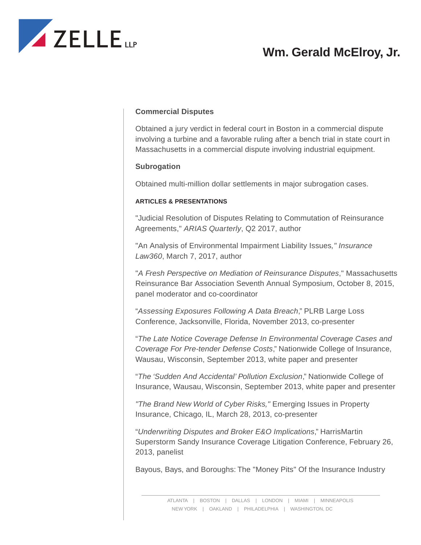

## **Commercial Disputes**

Obtained a jury verdict in federal court in Boston in a commercial dispute involving a turbine and a favorable ruling after a bench trial in state court in Massachusetts in a commercial dispute involving industrial equipment.

### **Subrogation**

Obtained multi-million dollar settlements in major subrogation cases.

#### **ARTICLES & PRESENTATIONS**

"Judicial Resolution of Disputes Relating to Commutation of Reinsurance Agreements," *ARIAS Quarterly*, Q2 2017, author

"An Analysis of Environmental Impairment Liability Issues*," Insurance Law360*, March 7, 2017, author

"*A Fresh Perspective on Mediation of Reinsurance Disputes*," Massachusetts Reinsurance Bar Association Seventh Annual Symposium, October 8, 2015, panel moderator and co-coordinator

"*Assessing Exposures Following A Data Breach*," PLRB Large Loss Conference, Jacksonville, Florida, November 2013, co-presenter

"*The Late Notice Coverage Defense In Environmental Coverage Cases and Coverage For Pre-tender Defense Costs*," Nationwide College of Insurance, Wausau, Wisconsin, September 2013, white paper and presenter

"*The 'Sudden And Accidental' Pollution Exclusion*," Nationwide College of Insurance, Wausau, Wisconsin, September 2013, white paper and presenter

*"The Brand New World of Cyber Risks,"* Emerging Issues in Property Insurance, Chicago, IL, March 28, 2013, co-presenter

"*Underwriting Disputes and Broker E&O Implications*," HarrisMartin Superstorm Sandy Insurance Coverage Litigation Conference, February 26, 2013, panelist

Bayous, Bays, and Boroughs: The "Money Pits" Of the Insurance Industry